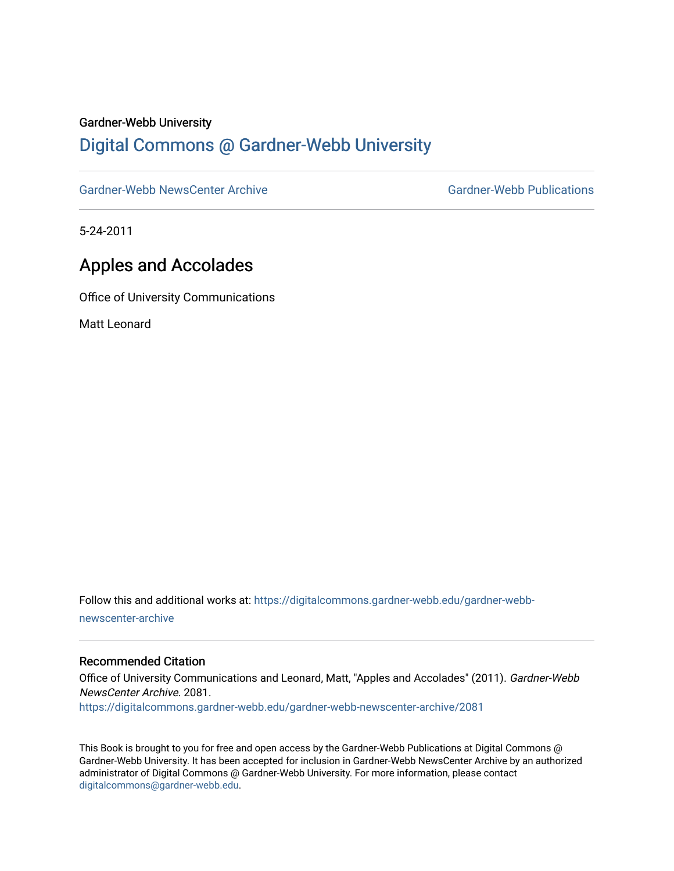#### Gardner-Webb University

# [Digital Commons @ Gardner-Webb University](https://digitalcommons.gardner-webb.edu/)

[Gardner-Webb NewsCenter Archive](https://digitalcommons.gardner-webb.edu/gardner-webb-newscenter-archive) Gardner-Webb Publications

5-24-2011

# Apples and Accolades

Office of University Communications

Matt Leonard

Follow this and additional works at: [https://digitalcommons.gardner-webb.edu/gardner-webb](https://digitalcommons.gardner-webb.edu/gardner-webb-newscenter-archive?utm_source=digitalcommons.gardner-webb.edu%2Fgardner-webb-newscenter-archive%2F2081&utm_medium=PDF&utm_campaign=PDFCoverPages)[newscenter-archive](https://digitalcommons.gardner-webb.edu/gardner-webb-newscenter-archive?utm_source=digitalcommons.gardner-webb.edu%2Fgardner-webb-newscenter-archive%2F2081&utm_medium=PDF&utm_campaign=PDFCoverPages)

### Recommended Citation

Office of University Communications and Leonard, Matt, "Apples and Accolades" (2011). Gardner-Webb NewsCenter Archive. 2081.

[https://digitalcommons.gardner-webb.edu/gardner-webb-newscenter-archive/2081](https://digitalcommons.gardner-webb.edu/gardner-webb-newscenter-archive/2081?utm_source=digitalcommons.gardner-webb.edu%2Fgardner-webb-newscenter-archive%2F2081&utm_medium=PDF&utm_campaign=PDFCoverPages) 

This Book is brought to you for free and open access by the Gardner-Webb Publications at Digital Commons @ Gardner-Webb University. It has been accepted for inclusion in Gardner-Webb NewsCenter Archive by an authorized administrator of Digital Commons @ Gardner-Webb University. For more information, please contact [digitalcommons@gardner-webb.edu](mailto:digitalcommons@gardner-webb.edu).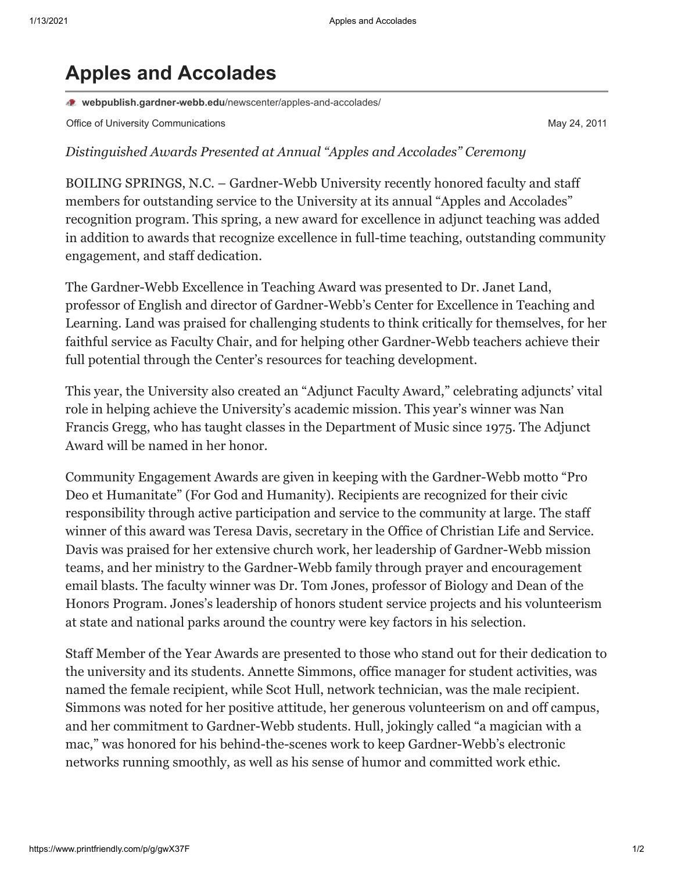# **Apples and Accolades**

**webpublish.gardner-webb.edu**[/newscenter/apples-and-accolades/](https://webpublish.gardner-webb.edu/newscenter/apples-and-accolades/)

Office of University Communications **May 24, 2011** Nay 24, 2011

## *Distinguished Awards Presented at Annual "Apples and Accolades" Ceremony*

BOILING SPRINGS, N.C. – Gardner-Webb University recently honored faculty and staff members for outstanding service to the University at its annual "Apples and Accolades" recognition program. This spring, a new award for excellence in adjunct teaching was added in addition to awards that recognize excellence in full-time teaching, outstanding community engagement, and staff dedication.

The Gardner-Webb Excellence in Teaching Award was presented to Dr. Janet Land, professor of English and director of Gardner-Webb's Center for Excellence in Teaching and Learning. Land was praised for challenging students to think critically for themselves, for her faithful service as Faculty Chair, and for helping other Gardner-Webb teachers achieve their full potential through the Center's resources for teaching development.

This year, the University also created an "Adjunct Faculty Award," celebrating adjuncts' vital role in helping achieve the University's academic mission. This year's winner was Nan Francis Gregg, who has taught classes in the Department of Music since 1975. The Adjunct Award will be named in her honor.

Community Engagement Awards are given in keeping with the Gardner-Webb motto "Pro Deo et Humanitate" (For God and Humanity). Recipients are recognized for their civic responsibility through active participation and service to the community at large. The staff winner of this award was Teresa Davis, secretary in the Office of Christian Life and Service. Davis was praised for her extensive church work, her leadership of Gardner-Webb mission teams, and her ministry to the Gardner-Webb family through prayer and encouragement email blasts. The faculty winner was Dr. Tom Jones, professor of Biology and Dean of the Honors Program. Jones's leadership of honors student service projects and his volunteerism at state and national parks around the country were key factors in his selection.

Staff Member of the Year Awards are presented to those who stand out for their dedication to the university and its students. Annette Simmons, office manager for student activities, was named the female recipient, while Scot Hull, network technician, was the male recipient. Simmons was noted for her positive attitude, her generous volunteerism on and off campus, and her commitment to Gardner-Webb students. Hull, jokingly called "a magician with a mac," was honored for his behind-the-scenes work to keep Gardner-Webb's electronic networks running smoothly, as well as his sense of humor and committed work ethic.